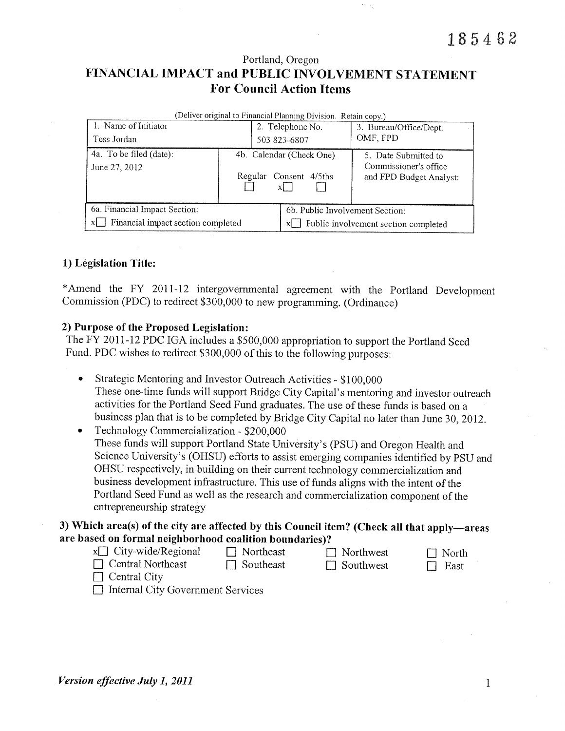Portland, Oregon

# FINANCIAL IMPACT and PUBLIC INVOLVEMENT STATEMENT **For Council Action Items**

| (Deliver original to Financial Planning Division. Retain copy.) |                           |                  |                                               |                                                  |  |  |  |  |  |  |
|-----------------------------------------------------------------|---------------------------|------------------|-----------------------------------------------|--------------------------------------------------|--|--|--|--|--|--|
| 1. Name of Initiator                                            |                           | 2. Telephone No. |                                               | 3. Bureau/Office/Dept.                           |  |  |  |  |  |  |
| Tess Jordan                                                     |                           | 503 823-6807     |                                               | OMF, FPD                                         |  |  |  |  |  |  |
| 4a. To be filed (date):                                         | 4b. Calendar (Check One). |                  |                                               | 5. Date Submitted to                             |  |  |  |  |  |  |
| June 27, 2012                                                   |                           |                  |                                               | Commissioner's office<br>and FPD Budget Analyst: |  |  |  |  |  |  |
|                                                                 |                           | Regular          | Consent 4/5ths                                |                                                  |  |  |  |  |  |  |
|                                                                 |                           |                  | XI.                                           |                                                  |  |  |  |  |  |  |
|                                                                 |                           |                  |                                               |                                                  |  |  |  |  |  |  |
| 6a. Financial Impact Section:                                   |                           |                  | 6b. Public Involvement Section:               |                                                  |  |  |  |  |  |  |
| Financial impact section completed<br>$x$                       |                           |                  | $x \Box$ Public involvement section completed |                                                  |  |  |  |  |  |  |

#### 1) Legislation Title:

\*Amend the FY 2011-12 intergovernmental agreement with the Portland Development Commission (PDC) to redirect \$300,000 to new programming. (Ordinance)

#### 2) Purpose of the Proposed Legislation:

The FY 2011-12 PDC IGA includes a \$500,000 appropriation to support the Portland Seed Fund. PDC wishes to redirect \$300,000 of this to the following purposes:

- Strategic Mentoring and Investor Outreach Activities \$100,000  $\bullet$ These one-time funds will support Bridge City Capital's mentoring and investor outreach activities for the Portland Seed Fund graduates. The use of these funds is based on a business plan that is to be completed by Bridge City Capital no later than June 30, 2012.
- Technology Commercialization \$200,000  $\bullet$ These funds will support Portland State University's (PSU) and Oregon Health and Science University's (OHSU) efforts to assist emerging companies identified by PSU and OHSU respectively, in building on their current technology commercialization and business development infrastructure. This use of funds aligns with the intent of the Portland Seed Fund as well as the research and commercialization component of the entrepreneurship strategy

3) Which area(s) of the city are affected by this Council item? (Check all that apply—areas are based on formal neighborhood coalition boundaries)?

- $x \Box$  City-wide/Regional  $\Box$  Northeast  $\Box$  Central Northeast
	- $\Box$  Southeast
- 
- $\Box$  Northwest  $\Box$  Southwest

 $\Box$  North  $\Box$  East

- $\Box$  Central City
- □ Internal City Government Services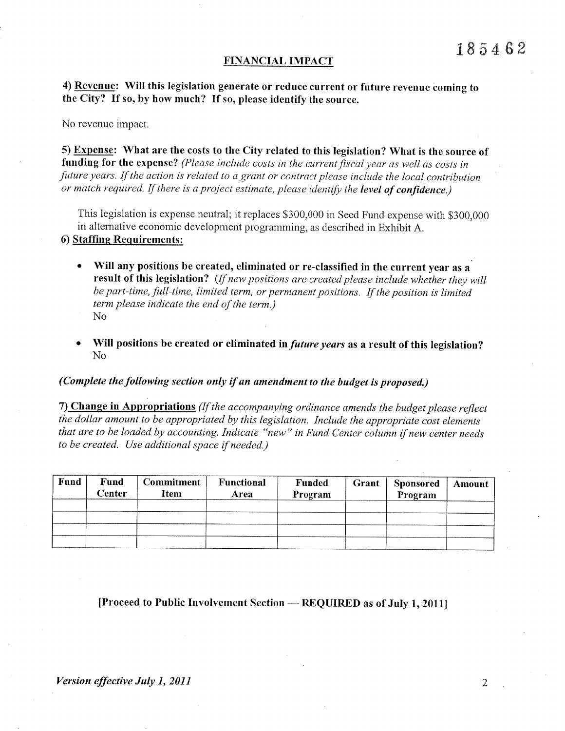#### FINANCIAL IMPACT

4) Revenue: Will this legislation generate or reduce current or future revenue coming to the City? If so, by how much? If so, please identify the source.

No revenue impact.

5) Expense: What are the costs to the City related to this legislation? What is the source of funding for the expense? (Please include costs in the current fiscal year as well as costs in future years. If the action is related to a grant or contract please include the local contribution or match required. If there is a project estimate, please identify the level of confidence.)

This legislation is expense neutral; it replaces \$300,000 in Seed Fund expense with \$300,000 in alternative economic development programming, as described in Exhibit A.

### 6) Staffing Requirements:

- Will any positions be created, eliminated or re-classified in the current year as a result of this legislation? (If new positions are created please include whether they will be part-time, full-time, limited term, or permanent positions. If the position is limited term please indicate the end of the term.)  $No$
- Will positions be created or eliminated in *future years* as a result of this legislation? No.

#### (Complete the following section only if an amendment to the budget is proposed.)

7) Change in Appropriations (If the accompanying ordinance amends the budget please reflect the dollar amount to be appropriated by this legislation. Include the appropriate cost elements that are to be loaded by accounting. Indicate "new" in Fund Center column if new center needs to be created. Use additional space if needed.)

| <b>Fund</b> | <b>Fund</b><br><b>Center</b> | <b>Commitment</b><br>Item | Functional<br>Area | <b>Funded</b><br>Program | Grant | <b>Sponsored</b><br>Program | Amount |
|-------------|------------------------------|---------------------------|--------------------|--------------------------|-------|-----------------------------|--------|
|             |                              |                           |                    |                          |       |                             |        |
|             |                              |                           |                    |                          |       |                             |        |
|             |                              |                           |                    |                          |       |                             |        |
|             |                              |                           |                    |                          |       |                             |        |

## [Proceed to Public Involvement Section - REQUIRED as of July 1, 2011]